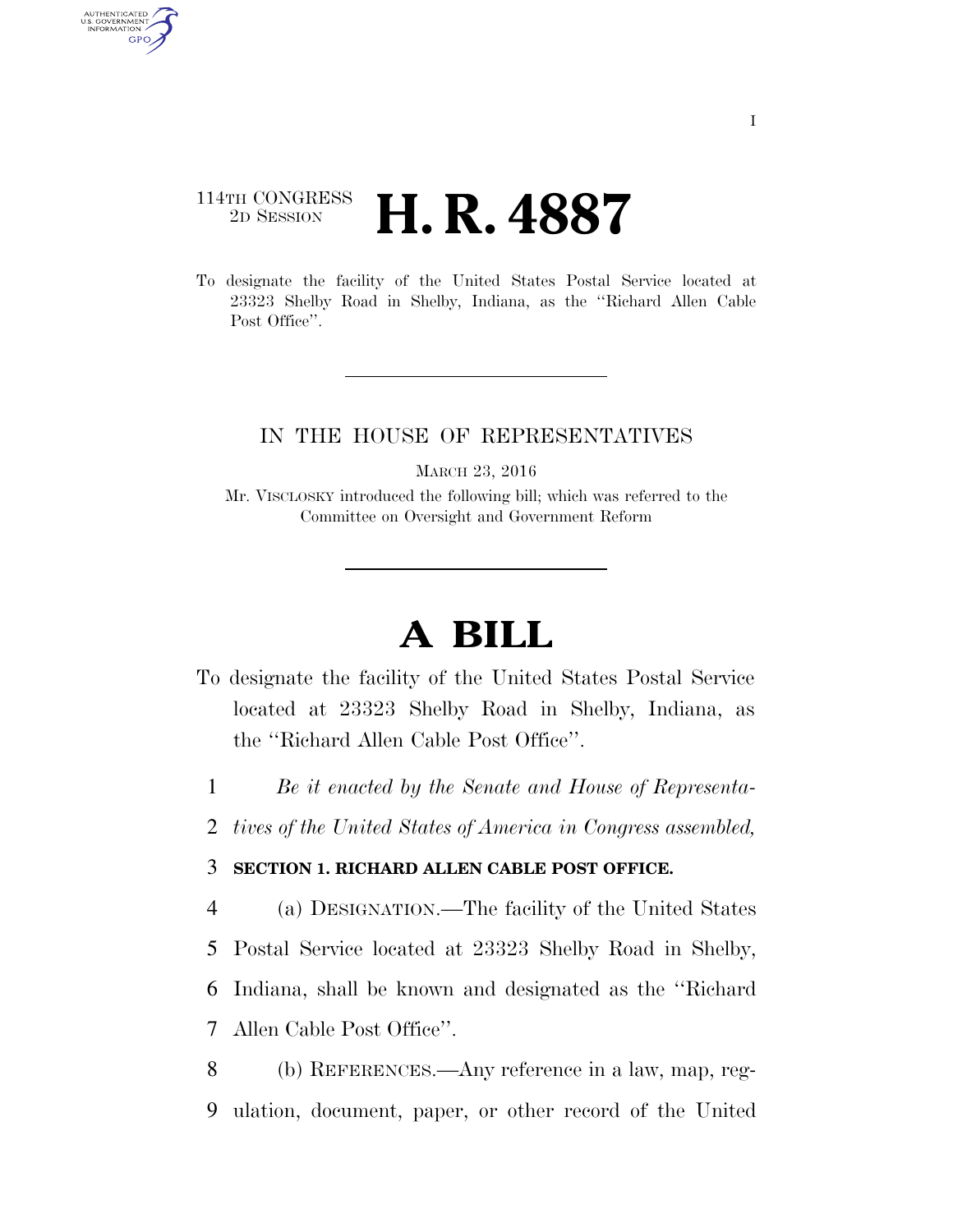## 114TH CONGRESS <sup>2D SESSION</sup> **H. R. 4887**

AUTHENTICATED<br>U.S. GOVERNMENT<br>INFORMATION GPO

> To designate the facility of the United States Postal Service located at 23323 Shelby Road in Shelby, Indiana, as the ''Richard Allen Cable Post Office".

## IN THE HOUSE OF REPRESENTATIVES

MARCH 23, 2016

Mr. VISCLOSKY introduced the following bill; which was referred to the Committee on Oversight and Government Reform

## **A BILL**

- To designate the facility of the United States Postal Service located at 23323 Shelby Road in Shelby, Indiana, as the ''Richard Allen Cable Post Office''.
	- 1 *Be it enacted by the Senate and House of Representa-*
- 2 *tives of the United States of America in Congress assembled,*

## 3 **SECTION 1. RICHARD ALLEN CABLE POST OFFICE.**

 (a) DESIGNATION.—The facility of the United States Postal Service located at 23323 Shelby Road in Shelby, Indiana, shall be known and designated as the ''Richard Allen Cable Post Office''.

8 (b) REFERENCES.—Any reference in a law, map, reg-9 ulation, document, paper, or other record of the United